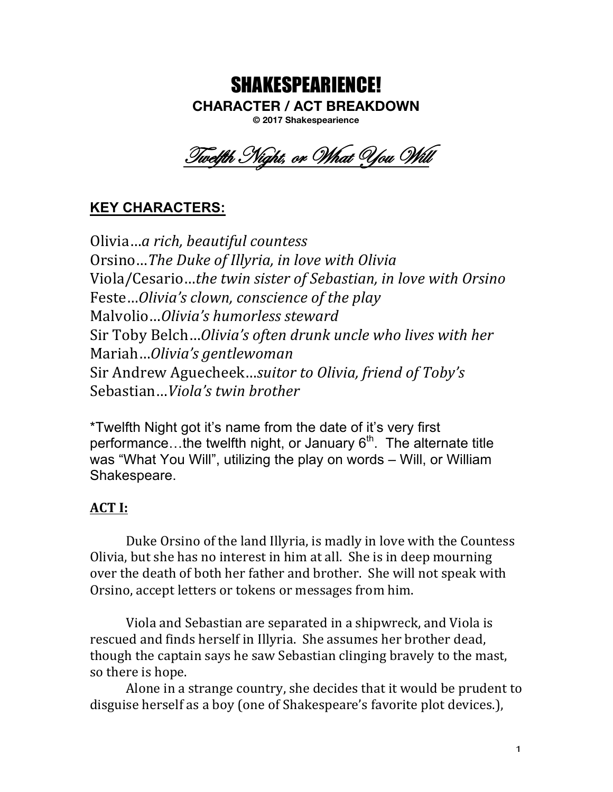## SHAKESPEARIENCE! **CHARACTER / ACT BREAKDOWN © 2017 Shakespearience**

Twelfth Night, or What You Will

# **KEY CHARACTERS:**

Olivia…*a rich, beautiful countess* Orsino...The Duke of Illyria, in love with Olivia Viola/Cesario...the twin sister of Sebastian, in love with Orsino Feste...*Olivia's clown, conscience of the play* Malvolio…*Olivia's humorless steward* Sir Toby Belch...*Olivia's often drunk uncle who lives with her* Mariah…*Olivia's gentlewoman* Sir Andrew Aguecheek...suitor to Olivia, friend of Toby's Sebastian...*Viola's* twin brother

\*Twelfth Night got it's name from the date of it's very first performance...the twelfth night, or January  $6<sup>th</sup>$ . The alternate title was "What You Will", utilizing the play on words – Will, or William Shakespeare.

## **ACT** I:

Duke Orsino of the land Illyria, is madly in love with the Countess Olivia, but she has no interest in him at all. She is in deep mourning over the death of both her father and brother. She will not speak with Orsino, accept letters or tokens or messages from him.

Viola and Sebastian are separated in a shipwreck, and Viola is rescued and finds herself in Illyria. She assumes her brother dead, though the captain says he saw Sebastian clinging bravely to the mast, so there is hope.

Alone in a strange country, she decides that it would be prudent to disguise herself as a boy (one of Shakespeare's favorite plot devices.),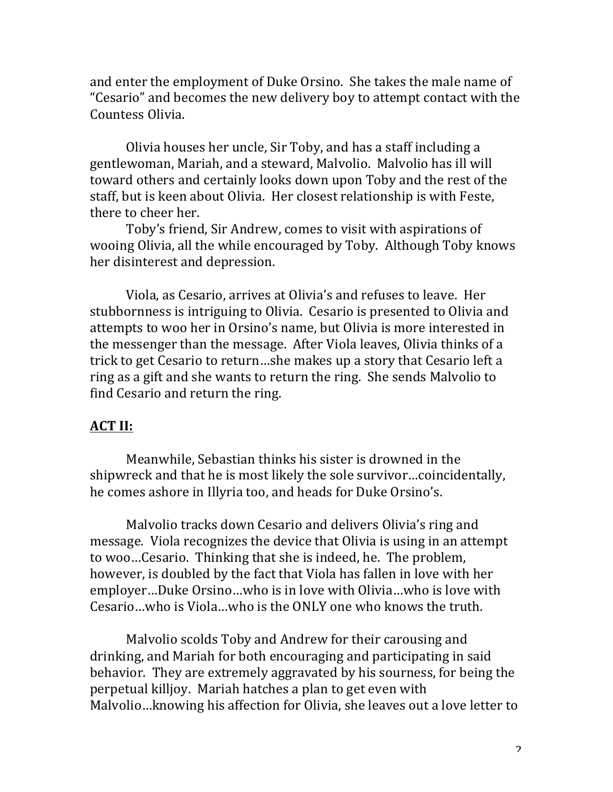and enter the employment of Duke Orsino. She takes the male name of "Cesario" and becomes the new delivery boy to attempt contact with the Countess Olivia.

Olivia houses her uncle, Sir Toby, and has a staff including a gentlewoman, Mariah, and a steward, Malvolio. Malvolio has ill will toward others and certainly looks down upon Toby and the rest of the staff, but is keen about Olivia. Her closest relationship is with Feste, there to cheer her.

Toby's friend, Sir Andrew, comes to visit with aspirations of wooing Olivia, all the while encouraged by Toby. Although Toby knows her disinterest and depression.

Viola, as Cesario, arrives at Olivia's and refuses to leave. Her stubbornness is intriguing to Olivia. Cesario is presented to Olivia and attempts to woo her in Orsino's name, but Olivia is more interested in the messenger than the message. After Viola leaves, Olivia thinks of a trick to get Cesario to return...she makes up a story that Cesario left a ring as a gift and she wants to return the ring. She sends Malvolio to find Cesario and return the ring.

#### **ACT II:**

Meanwhile, Sebastian thinks his sister is drowned in the shipwreck and that he is most likely the sole survivor...coincidentally, he comes ashore in Illyria too, and heads for Duke Orsino's.

Malvolio tracks down Cesario and delivers Olivia's ring and message. Viola recognizes the device that Olivia is using in an attempt to woo...Cesario. Thinking that she is indeed, he. The problem, however, is doubled by the fact that Viola has fallen in love with her employer...Duke Orsino...who is in love with Olivia...who is love with Cesario…who is Viola…who is the ONLY one who knows the truth.

Malvolio scolds Toby and Andrew for their carousing and drinking, and Mariah for both encouraging and participating in said behavior. They are extremely aggravated by his sourness, for being the perpetual killjoy. Mariah hatches a plan to get even with Malvolio…knowing his affection for Olivia, she leaves out a love letter to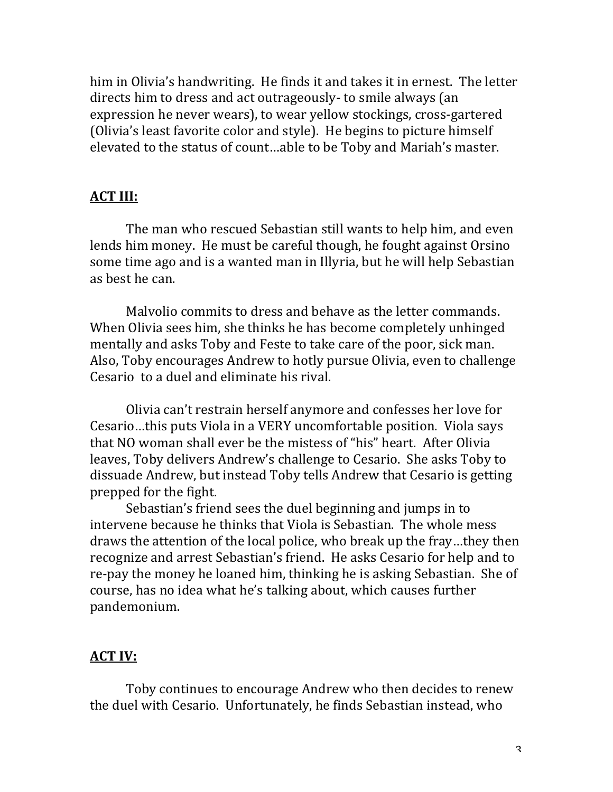him in Olivia's handwriting. He finds it and takes it in ernest. The letter directs him to dress and act outrageously- to smile always (an expression he never wears), to wear yellow stockings, cross-gartered (Olivia's least favorite color and style). He begins to picture himself elevated to the status of count...able to be Toby and Mariah's master.

#### **ACT III:**

The man who rescued Sebastian still wants to help him, and even lends him money. He must be careful though, he fought against Orsino some time ago and is a wanted man in Illyria, but he will help Sebastian as best he can.

Malvolio commits to dress and behave as the letter commands. When Olivia sees him, she thinks he has become completely unhinged mentally and asks Toby and Feste to take care of the poor, sick man. Also, Toby encourages Andrew to hotly pursue Olivia, even to challenge Cesario to a duel and eliminate his rival.

Olivia can't restrain herself anymore and confesses her love for Cesario...this puts Viola in a VERY uncomfortable position. Viola says that NO woman shall ever be the mistess of "his" heart. After Olivia leaves, Toby delivers Andrew's challenge to Cesario. She asks Toby to dissuade Andrew, but instead Toby tells Andrew that Cesario is getting prepped for the fight.

Sebastian's friend sees the duel beginning and jumps in to intervene because he thinks that Viola is Sebastian. The whole mess draws the attention of the local police, who break up the fray...they then recognize and arrest Sebastian's friend. He asks Cesario for help and to re-pay the money he loaned him, thinking he is asking Sebastian. She of course, has no idea what he's talking about, which causes further pandemonium.

## **ACT IV:**

Toby continues to encourage Andrew who then decides to renew the duel with Cesario. Unfortunately, he finds Sebastian instead, who